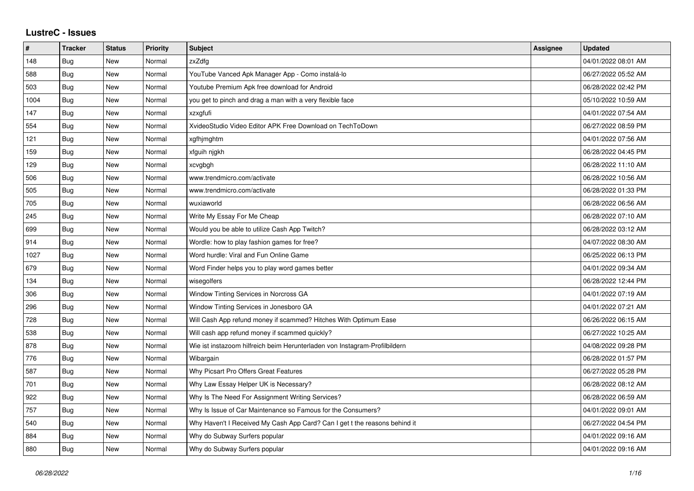## **LustreC - Issues**

| $\pmb{\#}$ | <b>Tracker</b> | <b>Status</b> | <b>Priority</b> | <b>Subject</b>                                                             | Assignee | <b>Updated</b>      |
|------------|----------------|---------------|-----------------|----------------------------------------------------------------------------|----------|---------------------|
| 148        | <b>Bug</b>     | New           | Normal          | zxZdfg                                                                     |          | 04/01/2022 08:01 AM |
| 588        | Bug            | <b>New</b>    | Normal          | YouTube Vanced Apk Manager App - Como instalá-lo                           |          | 06/27/2022 05:52 AM |
| 503        | Bug            | New           | Normal          | Youtube Premium Apk free download for Android                              |          | 06/28/2022 02:42 PM |
| 1004       | Bug            | <b>New</b>    | Normal          | you get to pinch and drag a man with a very flexible face                  |          | 05/10/2022 10:59 AM |
| 147        | Bug            | <b>New</b>    | Normal          | xzxgfufi                                                                   |          | 04/01/2022 07:54 AM |
| 554        | Bug            | New           | Normal          | XvideoStudio Video Editor APK Free Download on TechToDown                  |          | 06/27/2022 08:59 PM |
| 121        | <b>Bug</b>     | <b>New</b>    | Normal          | xgfhjmghtm                                                                 |          | 04/01/2022 07:56 AM |
| 159        | Bug            | New           | Normal          | xfguih njgkh                                                               |          | 06/28/2022 04:45 PM |
| 129        | Bug            | New           | Normal          | xcvgbgh                                                                    |          | 06/28/2022 11:10 AM |
| 506        | Bug            | New           | Normal          | www.trendmicro.com/activate                                                |          | 06/28/2022 10:56 AM |
| 505        | <b>Bug</b>     | New           | Normal          | www.trendmicro.com/activate                                                |          | 06/28/2022 01:33 PM |
| 705        | Bug            | New           | Normal          | wuxiaworld                                                                 |          | 06/28/2022 06:56 AM |
| 245        | Bug            | New           | Normal          | Write My Essay For Me Cheap                                                |          | 06/28/2022 07:10 AM |
| 699        | Bug            | New           | Normal          | Would you be able to utilize Cash App Twitch?                              |          | 06/28/2022 03:12 AM |
| 914        | Bug            | <b>New</b>    | Normal          | Wordle: how to play fashion games for free?                                |          | 04/07/2022 08:30 AM |
| 1027       | Bug            | New           | Normal          | Word hurdle: Viral and Fun Online Game                                     |          | 06/25/2022 06:13 PM |
| 679        | <b>Bug</b>     | New           | Normal          | Word Finder helps you to play word games better                            |          | 04/01/2022 09:34 AM |
| 134        | Bug            | <b>New</b>    | Normal          | wisegolfers                                                                |          | 06/28/2022 12:44 PM |
| 306        | Bug            | New           | Normal          | Window Tinting Services in Norcross GA                                     |          | 04/01/2022 07:19 AM |
| 296        | <b>Bug</b>     | New           | Normal          | Window Tinting Services in Jonesboro GA                                    |          | 04/01/2022 07:21 AM |
| 728        | Bug            | <b>New</b>    | Normal          | Will Cash App refund money if scammed? Hitches With Optimum Ease           |          | 06/26/2022 06:15 AM |
| 538        | Bug            | New           | Normal          | Will cash app refund money if scammed quickly?                             |          | 06/27/2022 10:25 AM |
| 878        | <b>Bug</b>     | New           | Normal          | Wie ist instazoom hilfreich beim Herunterladen von Instagram-Profilbildern |          | 04/08/2022 09:28 PM |
| 776        | Bug            | New           | Normal          | Wibargain                                                                  |          | 06/28/2022 01:57 PM |
| 587        | Bug            | New           | Normal          | Why Picsart Pro Offers Great Features                                      |          | 06/27/2022 05:28 PM |
| 701        | <b>Bug</b>     | New           | Normal          | Why Law Essay Helper UK is Necessary?                                      |          | 06/28/2022 08:12 AM |
| 922        | Bug            | New           | Normal          | Why Is The Need For Assignment Writing Services?                           |          | 06/28/2022 06:59 AM |
| 757        | Bug            | New           | Normal          | Why Is Issue of Car Maintenance so Famous for the Consumers?               |          | 04/01/2022 09:01 AM |
| 540        | Bug            | <b>New</b>    | Normal          | Why Haven't I Received My Cash App Card? Can I get t the reasons behind it |          | 06/27/2022 04:54 PM |
| 884        | Bug            | New           | Normal          | Why do Subway Surfers popular                                              |          | 04/01/2022 09:16 AM |
| 880        | Bug            | New           | Normal          | Why do Subway Surfers popular                                              |          | 04/01/2022 09:16 AM |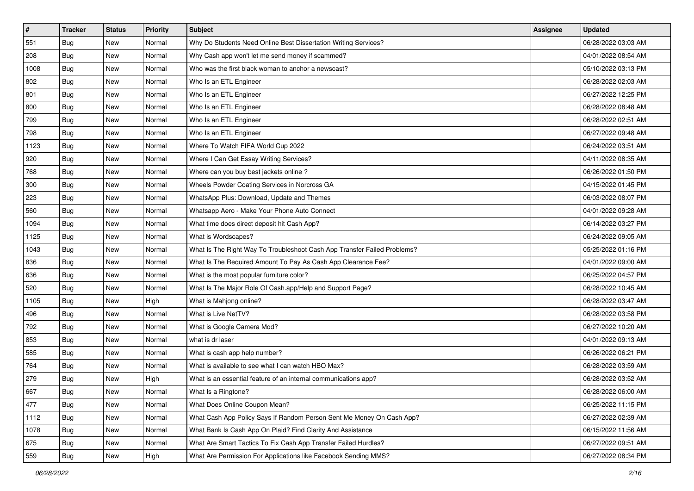| $\vert$ # | <b>Tracker</b> | <b>Status</b> | <b>Priority</b> | Subject                                                                  | <b>Assignee</b> | <b>Updated</b>      |
|-----------|----------------|---------------|-----------------|--------------------------------------------------------------------------|-----------------|---------------------|
| 551       | <b>Bug</b>     | New           | Normal          | Why Do Students Need Online Best Dissertation Writing Services?          |                 | 06/28/2022 03:03 AM |
| 208       | Bug            | New           | Normal          | Why Cash app won't let me send money if scammed?                         |                 | 04/01/2022 08:54 AM |
| 1008      | Bug            | New           | Normal          | Who was the first black woman to anchor a newscast?                      |                 | 05/10/2022 03:13 PM |
| 802       | <b>Bug</b>     | New           | Normal          | Who Is an ETL Engineer                                                   |                 | 06/28/2022 02:03 AM |
| 801       | <b>Bug</b>     | <b>New</b>    | Normal          | Who Is an ETL Engineer                                                   |                 | 06/27/2022 12:25 PM |
| 800       | <b>Bug</b>     | New           | Normal          | Who Is an ETL Engineer                                                   |                 | 06/28/2022 08:48 AM |
| 799       | Bug            | New           | Normal          | Who Is an ETL Engineer                                                   |                 | 06/28/2022 02:51 AM |
| 798       | Bug            | New           | Normal          | Who Is an ETL Engineer                                                   |                 | 06/27/2022 09:48 AM |
| 1123      | <b>Bug</b>     | New           | Normal          | Where To Watch FIFA World Cup 2022                                       |                 | 06/24/2022 03:51 AM |
| 920       | Bug            | New           | Normal          | Where I Can Get Essay Writing Services?                                  |                 | 04/11/2022 08:35 AM |
| 768       | <b>Bug</b>     | New           | Normal          | Where can you buy best jackets online?                                   |                 | 06/26/2022 01:50 PM |
| 300       | Bug            | New           | Normal          | Wheels Powder Coating Services in Norcross GA                            |                 | 04/15/2022 01:45 PM |
| 223       | Bug            | New           | Normal          | WhatsApp Plus: Download, Update and Themes                               |                 | 06/03/2022 08:07 PM |
| 560       | <b>Bug</b>     | New           | Normal          | Whatsapp Aero - Make Your Phone Auto Connect                             |                 | 04/01/2022 09:28 AM |
| 1094      | <b>Bug</b>     | New           | Normal          | What time does direct deposit hit Cash App?                              |                 | 06/14/2022 03:27 PM |
| 1125      | Bug            | New           | Normal          | What is Wordscapes?                                                      |                 | 06/24/2022 09:05 AM |
| 1043      | <b>Bug</b>     | New           | Normal          | What Is The Right Way To Troubleshoot Cash App Transfer Failed Problems? |                 | 05/25/2022 01:16 PM |
| 836       | Bug            | New           | Normal          | What Is The Required Amount To Pay As Cash App Clearance Fee?            |                 | 04/01/2022 09:00 AM |
| 636       | <b>Bug</b>     | New           | Normal          | What is the most popular furniture color?                                |                 | 06/25/2022 04:57 PM |
| 520       | <b>Bug</b>     | New           | Normal          | What Is The Major Role Of Cash.app/Help and Support Page?                |                 | 06/28/2022 10:45 AM |
| 1105      | <b>Bug</b>     | New           | High            | What is Mahjong online?                                                  |                 | 06/28/2022 03:47 AM |
| 496       | <b>Bug</b>     | New           | Normal          | What is Live NetTV?                                                      |                 | 06/28/2022 03:58 PM |
| 792       | Bug            | New           | Normal          | What is Google Camera Mod?                                               |                 | 06/27/2022 10:20 AM |
| 853       | <b>Bug</b>     | New           | Normal          | what is dr laser                                                         |                 | 04/01/2022 09:13 AM |
| 585       | Bug            | New           | Normal          | What is cash app help number?                                            |                 | 06/26/2022 06:21 PM |
| 764       | Bug            | New           | Normal          | What is available to see what I can watch HBO Max?                       |                 | 06/28/2022 03:59 AM |
| 279       | <b>Bug</b>     | New           | High            | What is an essential feature of an internal communications app?          |                 | 06/28/2022 03:52 AM |
| 667       | <b>Bug</b>     | New           | Normal          | What Is a Ringtone?                                                      |                 | 06/28/2022 06:00 AM |
| 477       | Bug            | New           | Normal          | What Does Online Coupon Mean?                                            |                 | 06/25/2022 11:15 PM |
| 1112      | Bug            | New           | Normal          | What Cash App Policy Says If Random Person Sent Me Money On Cash App?    |                 | 06/27/2022 02:39 AM |
| 1078      | Bug            | New           | Normal          | What Bank Is Cash App On Plaid? Find Clarity And Assistance              |                 | 06/15/2022 11:56 AM |
| 675       | <b>Bug</b>     | New           | Normal          | What Are Smart Tactics To Fix Cash App Transfer Failed Hurdles?          |                 | 06/27/2022 09:51 AM |
| 559       | Bug            | New           | High            | What Are Permission For Applications like Facebook Sending MMS?          |                 | 06/27/2022 08:34 PM |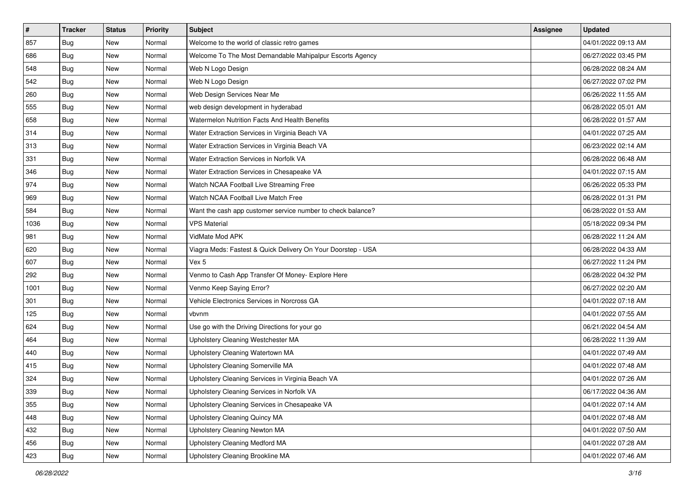| $\vert$ # | <b>Tracker</b> | <b>Status</b> | <b>Priority</b> | Subject                                                      | Assignee | <b>Updated</b>      |
|-----------|----------------|---------------|-----------------|--------------------------------------------------------------|----------|---------------------|
| 857       | <b>Bug</b>     | New           | Normal          | Welcome to the world of classic retro games                  |          | 04/01/2022 09:13 AM |
| 686       | Bug            | New           | Normal          | Welcome To The Most Demandable Mahipalpur Escorts Agency     |          | 06/27/2022 03:45 PM |
| 548       | Bug            | New           | Normal          | Web N Logo Design                                            |          | 06/28/2022 08:24 AM |
| 542       | <b>Bug</b>     | New           | Normal          | Web N Logo Design                                            |          | 06/27/2022 07:02 PM |
| 260       | Bug            | <b>New</b>    | Normal          | Web Design Services Near Me                                  |          | 06/26/2022 11:55 AM |
| 555       | <b>Bug</b>     | New           | Normal          | web design development in hyderabad                          |          | 06/28/2022 05:01 AM |
| 658       | Bug            | New           | Normal          | Watermelon Nutrition Facts And Health Benefits               |          | 06/28/2022 01:57 AM |
| 314       | <b>Bug</b>     | New           | Normal          | Water Extraction Services in Virginia Beach VA               |          | 04/01/2022 07:25 AM |
| 313       | Bug            | New           | Normal          | Water Extraction Services in Virginia Beach VA               |          | 06/23/2022 02:14 AM |
| 331       | Bug            | New           | Normal          | Water Extraction Services in Norfolk VA                      |          | 06/28/2022 06:48 AM |
| 346       | Bug            | New           | Normal          | Water Extraction Services in Chesapeake VA                   |          | 04/01/2022 07:15 AM |
| 974       | Bug            | New           | Normal          | Watch NCAA Football Live Streaming Free                      |          | 06/26/2022 05:33 PM |
| 969       | Bug            | New           | Normal          | Watch NCAA Football Live Match Free                          |          | 06/28/2022 01:31 PM |
| 584       | <b>Bug</b>     | New           | Normal          | Want the cash app customer service number to check balance?  |          | 06/28/2022 01:53 AM |
| 1036      | Bug            | New           | Normal          | <b>VPS Material</b>                                          |          | 05/18/2022 09:34 PM |
| 981       | Bug            | New           | Normal          | VidMate Mod APK                                              |          | 06/28/2022 11:24 AM |
| 620       | <b>Bug</b>     | New           | Normal          | Viagra Meds: Fastest & Quick Delivery On Your Doorstep - USA |          | 06/28/2022 04:33 AM |
| 607       | Bug            | <b>New</b>    | Normal          | Vex 5                                                        |          | 06/27/2022 11:24 PM |
| 292       | <b>Bug</b>     | New           | Normal          | Venmo to Cash App Transfer Of Money- Explore Here            |          | 06/28/2022 04:32 PM |
| 1001      | <b>Bug</b>     | New           | Normal          | Venmo Keep Saying Error?                                     |          | 06/27/2022 02:20 AM |
| 301       | <b>Bug</b>     | New           | Normal          | Vehicle Electronics Services in Norcross GA                  |          | 04/01/2022 07:18 AM |
| 125       | Bug            | New           | Normal          | vbvnm                                                        |          | 04/01/2022 07:55 AM |
| 624       | Bug            | <b>New</b>    | Normal          | Use go with the Driving Directions for your go               |          | 06/21/2022 04:54 AM |
| 464       | Bug            | New           | Normal          | Upholstery Cleaning Westchester MA                           |          | 06/28/2022 11:39 AM |
| 440       | Bug            | New           | Normal          | Upholstery Cleaning Watertown MA                             |          | 04/01/2022 07:49 AM |
| 415       | <b>Bug</b>     | New           | Normal          | <b>Upholstery Cleaning Somerville MA</b>                     |          | 04/01/2022 07:48 AM |
| 324       | Bug            | New           | Normal          | Upholstery Cleaning Services in Virginia Beach VA            |          | 04/01/2022 07:26 AM |
| 339       | I Bug          | New           | Normal          | Upholstery Cleaning Services in Norfolk VA                   |          | 06/17/2022 04:36 AM |
| 355       | Bug            | New           | Normal          | Upholstery Cleaning Services in Chesapeake VA                |          | 04/01/2022 07:14 AM |
| 448       | <b>Bug</b>     | New           | Normal          | Upholstery Cleaning Quincy MA                                |          | 04/01/2022 07:48 AM |
| 432       | <b>Bug</b>     | New           | Normal          | Upholstery Cleaning Newton MA                                |          | 04/01/2022 07:50 AM |
| 456       | Bug            | New           | Normal          | Upholstery Cleaning Medford MA                               |          | 04/01/2022 07:28 AM |
| 423       | <b>Bug</b>     | New           | Normal          | Upholstery Cleaning Brookline MA                             |          | 04/01/2022 07:46 AM |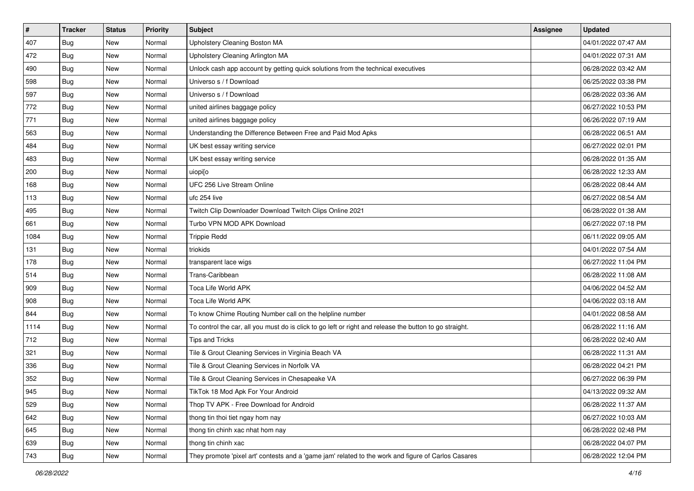| $\vert$ # | <b>Tracker</b> | <b>Status</b> | <b>Priority</b> | Subject                                                                                                 | Assignee | <b>Updated</b>      |
|-----------|----------------|---------------|-----------------|---------------------------------------------------------------------------------------------------------|----------|---------------------|
| 407       | Bug            | New           | Normal          | Upholstery Cleaning Boston MA                                                                           |          | 04/01/2022 07:47 AM |
| 472       | <b>Bug</b>     | New           | Normal          | Upholstery Cleaning Arlington MA                                                                        |          | 04/01/2022 07:31 AM |
| 490       | Bug            | New           | Normal          | Unlock cash app account by getting quick solutions from the technical executives                        |          | 06/28/2022 03:42 AM |
| 598       | <b>Bug</b>     | <b>New</b>    | Normal          | Universo s / f Download                                                                                 |          | 06/25/2022 03:38 PM |
| 597       | <b>Bug</b>     | New           | Normal          | Universo s / f Download                                                                                 |          | 06/28/2022 03:36 AM |
| 772       | Bug            | New           | Normal          | united airlines baggage policy                                                                          |          | 06/27/2022 10:53 PM |
| 771       | Bug            | New           | Normal          | united airlines baggage policy                                                                          |          | 06/26/2022 07:19 AM |
| 563       | Bug            | New           | Normal          | Understanding the Difference Between Free and Paid Mod Apks                                             |          | 06/28/2022 06:51 AM |
| 484       | <b>Bug</b>     | New           | Normal          | UK best essay writing service                                                                           |          | 06/27/2022 02:01 PM |
| 483       | Bug            | New           | Normal          | UK best essay writing service                                                                           |          | 06/28/2022 01:35 AM |
| 200       | <b>Bug</b>     | New           | Normal          | uiopi[o                                                                                                 |          | 06/28/2022 12:33 AM |
| 168       | <b>Bug</b>     | New           | Normal          | UFC 256 Live Stream Online                                                                              |          | 06/28/2022 08:44 AM |
| 113       | Bug            | New           | Normal          | ufc 254 live                                                                                            |          | 06/27/2022 08:54 AM |
| 495       | Bug            | New           | Normal          | Twitch Clip Downloader Download Twitch Clips Online 2021                                                |          | 06/28/2022 01:38 AM |
| 661       | Bug            | <b>New</b>    | Normal          | Turbo VPN MOD APK Download                                                                              |          | 06/27/2022 07:18 PM |
| 1084      | Bug            | New           | Normal          | <b>Trippie Redd</b>                                                                                     |          | 06/11/2022 09:05 AM |
| 131       | <b>Bug</b>     | <b>New</b>    | Normal          | triokids                                                                                                |          | 04/01/2022 07:54 AM |
| 178       | Bug            | New           | Normal          | transparent lace wigs                                                                                   |          | 06/27/2022 11:04 PM |
| 514       | Bug            | New           | Normal          | Trans-Caribbean                                                                                         |          | 06/28/2022 11:08 AM |
| 909       | <b>Bug</b>     | <b>New</b>    | Normal          | Toca Life World APK                                                                                     |          | 04/06/2022 04:52 AM |
| 908       | <b>Bug</b>     | New           | Normal          | Toca Life World APK                                                                                     |          | 04/06/2022 03:18 AM |
| 844       | <b>Bug</b>     | <b>New</b>    | Normal          | To know Chime Routing Number call on the helpline number                                                |          | 04/01/2022 08:58 AM |
| 1114      | Bug            | <b>New</b>    | Normal          | To control the car, all you must do is click to go left or right and release the button to go straight. |          | 06/28/2022 11:16 AM |
| 712       | <b>Bug</b>     | New           | Normal          | Tips and Tricks                                                                                         |          | 06/28/2022 02:40 AM |
| 321       | Bug            | New           | Normal          | Tile & Grout Cleaning Services in Virginia Beach VA                                                     |          | 06/28/2022 11:31 AM |
| 336       | <b>Bug</b>     | New           | Normal          | Tile & Grout Cleaning Services in Norfolk VA                                                            |          | 06/28/2022 04:21 PM |
| 352       | <b>Bug</b>     | New           | Normal          | Tile & Grout Cleaning Services in Chesapeake VA                                                         |          | 06/27/2022 06:39 PM |
| 945       | <b>Bug</b>     | New           | Normal          | TikTok 18 Mod Apk For Your Android                                                                      |          | 04/13/2022 09:32 AM |
| 529       | <b>Bug</b>     | New           | Normal          | Thop TV APK - Free Download for Android                                                                 |          | 06/28/2022 11:37 AM |
| 642       | Bug            | New           | Normal          | thong tin thoi tiet ngay hom nay                                                                        |          | 06/27/2022 10:03 AM |
| 645       | <b>Bug</b>     | New           | Normal          | thong tin chinh xac nhat hom nay                                                                        |          | 06/28/2022 02:48 PM |
| 639       | <b>Bug</b>     | New           | Normal          | thong tin chinh xac                                                                                     |          | 06/28/2022 04:07 PM |
| 743       | <b>Bug</b>     | New           | Normal          | They promote 'pixel art' contests and a 'game jam' related to the work and figure of Carlos Casares     |          | 06/28/2022 12:04 PM |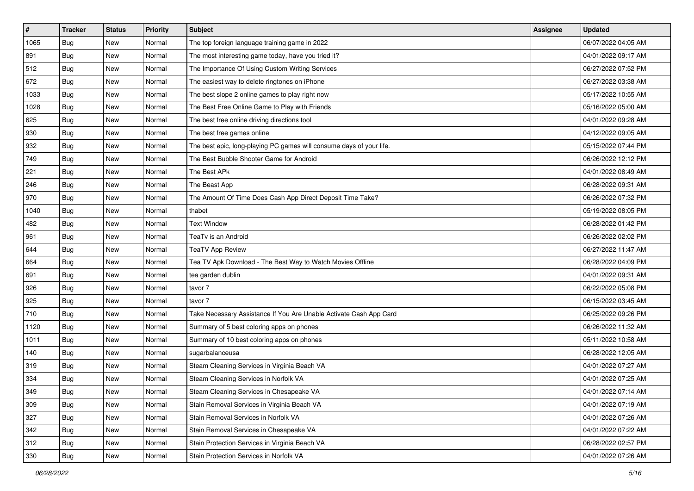| $\vert$ # | <b>Tracker</b> | <b>Status</b> | <b>Priority</b> | Subject                                                              | Assignee | <b>Updated</b>      |
|-----------|----------------|---------------|-----------------|----------------------------------------------------------------------|----------|---------------------|
| 1065      | <b>Bug</b>     | New           | Normal          | The top foreign language training game in 2022                       |          | 06/07/2022 04:05 AM |
| 891       | Bug            | New           | Normal          | The most interesting game today, have you tried it?                  |          | 04/01/2022 09:17 AM |
| 512       | Bug            | New           | Normal          | The Importance Of Using Custom Writing Services                      |          | 06/27/2022 07:52 PM |
| 672       | <b>Bug</b>     | New           | Normal          | The easiest way to delete ringtones on iPhone                        |          | 06/27/2022 03:38 AM |
| 1033      | Bug            | <b>New</b>    | Normal          | The best slope 2 online games to play right now                      |          | 05/17/2022 10:55 AM |
| 1028      | <b>Bug</b>     | New           | Normal          | The Best Free Online Game to Play with Friends                       |          | 05/16/2022 05:00 AM |
| 625       | Bug            | New           | Normal          | The best free online driving directions tool                         |          | 04/01/2022 09:28 AM |
| 930       | <b>Bug</b>     | New           | Normal          | The best free games online                                           |          | 04/12/2022 09:05 AM |
| 932       | <b>Bug</b>     | New           | Normal          | The best epic, long-playing PC games will consume days of your life. |          | 05/15/2022 07:44 PM |
| 749       | Bug            | New           | Normal          | The Best Bubble Shooter Game for Android                             |          | 06/26/2022 12:12 PM |
| 221       | <b>Bug</b>     | New           | Normal          | The Best APk                                                         |          | 04/01/2022 08:49 AM |
| 246       | Bug            | New           | Normal          | The Beast App                                                        |          | 06/28/2022 09:31 AM |
| 970       | Bug            | New           | Normal          | The Amount Of Time Does Cash App Direct Deposit Time Take?           |          | 06/26/2022 07:32 PM |
| 1040      | <b>Bug</b>     | New           | Normal          | thabet                                                               |          | 05/19/2022 08:05 PM |
| 482       | <b>Bug</b>     | New           | Normal          | <b>Text Window</b>                                                   |          | 06/28/2022 01:42 PM |
| 961       | Bug            | New           | Normal          | TeaTv is an Android                                                  |          | 06/26/2022 02:02 PM |
| 644       | <b>Bug</b>     | New           | Normal          | <b>TeaTV App Review</b>                                              |          | 06/27/2022 11:47 AM |
| 664       | Bug            | <b>New</b>    | Normal          | Tea TV Apk Download - The Best Way to Watch Movies Offline           |          | 06/28/2022 04:09 PM |
| 691       | Bug            | New           | Normal          | tea garden dublin                                                    |          | 04/01/2022 09:31 AM |
| 926       | <b>Bug</b>     | New           | Normal          | tavor 7                                                              |          | 06/22/2022 05:08 PM |
| 925       | Bug            | New           | Normal          | tavor 7                                                              |          | 06/15/2022 03:45 AM |
| 710       | <b>Bug</b>     | New           | Normal          | Take Necessary Assistance If You Are Unable Activate Cash App Card   |          | 06/25/2022 09:26 PM |
| 1120      | Bug            | <b>New</b>    | Normal          | Summary of 5 best coloring apps on phones                            |          | 06/26/2022 11:32 AM |
| 1011      | <b>Bug</b>     | New           | Normal          | Summary of 10 best coloring apps on phones                           |          | 05/11/2022 10:58 AM |
| 140       | Bug            | New           | Normal          | sugarbalanceusa                                                      |          | 06/28/2022 12:05 AM |
| 319       | Bug            | New           | Normal          | Steam Cleaning Services in Virginia Beach VA                         |          | 04/01/2022 07:27 AM |
| 334       | <b>Bug</b>     | New           | Normal          | Steam Cleaning Services in Norfolk VA                                |          | 04/01/2022 07:25 AM |
| 349       | I Bug          | New           | Normal          | Steam Cleaning Services in Chesapeake VA                             |          | 04/01/2022 07:14 AM |
| 309       | Bug            | New           | Normal          | Stain Removal Services in Virginia Beach VA                          |          | 04/01/2022 07:19 AM |
| 327       | <b>Bug</b>     | New           | Normal          | Stain Removal Services in Norfolk VA                                 |          | 04/01/2022 07:26 AM |
| 342       | <b>Bug</b>     | New           | Normal          | Stain Removal Services in Chesapeake VA                              |          | 04/01/2022 07:22 AM |
| 312       | Bug            | New           | Normal          | Stain Protection Services in Virginia Beach VA                       |          | 06/28/2022 02:57 PM |
| 330       | <b>Bug</b>     | New           | Normal          | Stain Protection Services in Norfolk VA                              |          | 04/01/2022 07:26 AM |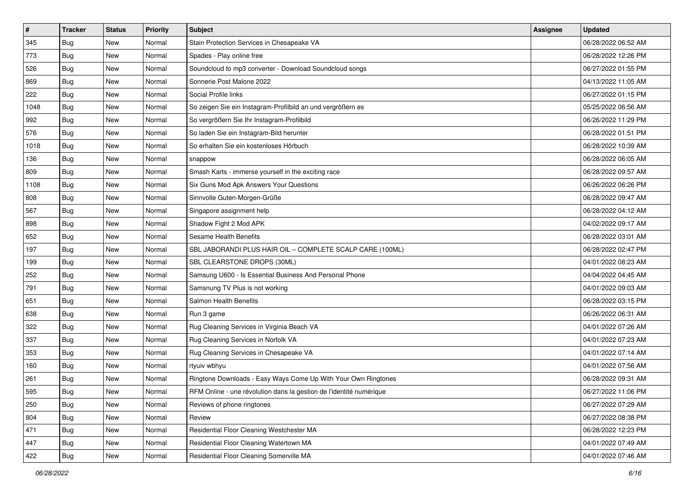| $\sharp$ | <b>Tracker</b> | <b>Status</b> | <b>Priority</b> | Subject                                                             | Assignee | <b>Updated</b>      |
|----------|----------------|---------------|-----------------|---------------------------------------------------------------------|----------|---------------------|
| 345      | <b>Bug</b>     | New           | Normal          | Stain Protection Services in Chesapeake VA                          |          | 06/28/2022 06:52 AM |
| 773      | <b>Bug</b>     | <b>New</b>    | Normal          | Spades - Play online free                                           |          | 06/28/2022 12:26 PM |
| 526      | Bug            | New           | Normal          | Soundcloud to mp3 converter - Download Soundcloud songs             |          | 06/27/2022 01:55 PM |
| 869      | <b>Bug</b>     | <b>New</b>    | Normal          | Sonnerie Post Malone 2022                                           |          | 04/13/2022 11:05 AM |
| 222      | Bug            | <b>New</b>    | Normal          | Social Profile links                                                |          | 06/27/2022 01:15 PM |
| 1048     | <b>Bug</b>     | <b>New</b>    | Normal          | So zeigen Sie ein Instagram-Profilbild an und vergrößern es         |          | 05/25/2022 06:56 AM |
| 992      | Bug            | New           | Normal          | So vergrößern Sie Ihr Instagram-Profilbild                          |          | 06/26/2022 11:29 PM |
| 576      | Bug            | New           | Normal          | So laden Sie ein Instagram-Bild herunter                            |          | 06/28/2022 01:51 PM |
| 1018     | <b>Bug</b>     | <b>New</b>    | Normal          | So erhalten Sie ein kostenloses Hörbuch                             |          | 06/28/2022 10:39 AM |
| 136      | Bug            | <b>New</b>    | Normal          | snappow                                                             |          | 06/28/2022 06:05 AM |
| 809      | Bug            | New           | Normal          | Smash Karts - immerse yourself in the exciting race                 |          | 06/28/2022 09:57 AM |
| 1108     | <b>Bug</b>     | New           | Normal          | Six Guns Mod Apk Answers Your Questions                             |          | 06/26/2022 06:26 PM |
| 808      | Bug            | <b>New</b>    | Normal          | Sinnvolle Guten-Morgen-Grüße                                        |          | 06/28/2022 09:47 AM |
| 567      | <b>Bug</b>     | New           | Normal          | Singapore assignment help                                           |          | 06/28/2022 04:12 AM |
| 898      | Bug            | <b>New</b>    | Normal          | Shadow Fight 2 Mod APK                                              |          | 04/02/2022 09:17 AM |
| 652      | Bug            | New           | Normal          | <b>Sesame Health Benefits</b>                                       |          | 06/28/2022 03:01 AM |
| 197      | <b>Bug</b>     | <b>New</b>    | Normal          | SBL JABORANDI PLUS HAIR OIL - COMPLETE SCALP CARE (100ML)           |          | 06/28/2022 02:47 PM |
| 199      | Bug            | <b>New</b>    | Normal          | SBL CLEARSTONE DROPS (30ML)                                         |          | 04/01/2022 08:23 AM |
| 252      | Bug            | New           | Normal          | Samsung U600 - Is Essential Business And Personal Phone             |          | 04/04/2022 04:45 AM |
| 791      | Bug            | <b>New</b>    | Normal          | Samsnung TV Plus is not working                                     |          | 04/01/2022 09:03 AM |
| 651      | Bug            | New           | Normal          | Salmon Health Benefits                                              |          | 06/28/2022 03:15 PM |
| 638      | <b>Bug</b>     | <b>New</b>    | Normal          | Run 3 game                                                          |          | 06/26/2022 06:31 AM |
| 322      | Bug            | <b>New</b>    | Normal          | Rug Cleaning Services in Virginia Beach VA                          |          | 04/01/2022 07:26 AM |
| 337      | Bug            | New           | Normal          | Rug Cleaning Services in Norfolk VA                                 |          | 04/01/2022 07:23 AM |
| 353      | Bug            | New           | Normal          | Rug Cleaning Services in Chesapeake VA                              |          | 04/01/2022 07:14 AM |
| 160      | Bug            | New           | Normal          | rtyuiv wbhyu                                                        |          | 04/01/2022 07:56 AM |
| 261      | <b>Bug</b>     | New           | Normal          | Ringtone Downloads - Easy Ways Come Up With Your Own Ringtones      |          | 06/28/2022 09:31 AM |
| 595      | i Bug          | New           | Normal          | RFM Online - une révolution dans la gestion de l'identité numérique |          | 06/27/2022 11:06 PM |
| 250      | <b>Bug</b>     | New           | Normal          | Reviews of phone ringtones                                          |          | 06/27/2022 07:29 AM |
| 804      | <b>Bug</b>     | New           | Normal          | Review                                                              |          | 06/27/2022 08:38 PM |
| 471      | <b>Bug</b>     | New           | Normal          | Residential Floor Cleaning Westchester MA                           |          | 06/28/2022 12:23 PM |
| 447      | <b>Bug</b>     | New           | Normal          | Residential Floor Cleaning Watertown MA                             |          | 04/01/2022 07:49 AM |
| 422      | Bug            | New           | Normal          | Residential Floor Cleaning Somerville MA                            |          | 04/01/2022 07:46 AM |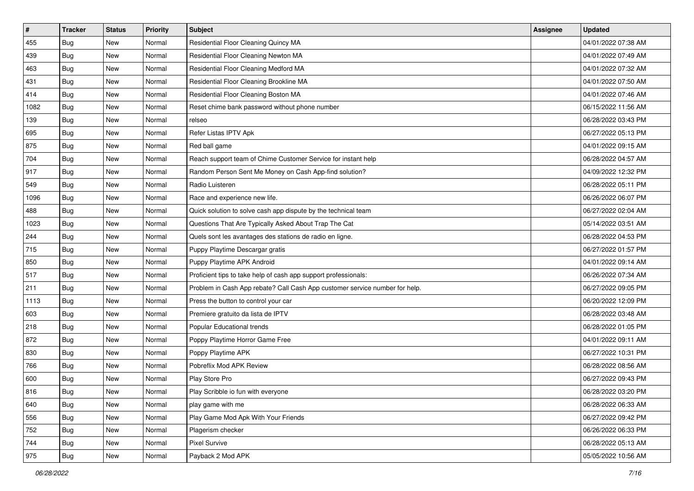| $\sharp$ | <b>Tracker</b> | <b>Status</b> | <b>Priority</b> | <b>Subject</b>                                                              | <b>Assignee</b> | <b>Updated</b>      |
|----------|----------------|---------------|-----------------|-----------------------------------------------------------------------------|-----------------|---------------------|
| 455      | Bug            | New           | Normal          | Residential Floor Cleaning Quincy MA                                        |                 | 04/01/2022 07:38 AM |
| 439      | Bug            | <b>New</b>    | Normal          | Residential Floor Cleaning Newton MA                                        |                 | 04/01/2022 07:49 AM |
| 463      | Bug            | New           | Normal          | Residential Floor Cleaning Medford MA                                       |                 | 04/01/2022 07:32 AM |
| 431      | <b>Bug</b>     | <b>New</b>    | Normal          | Residential Floor Cleaning Brookline MA                                     |                 | 04/01/2022 07:50 AM |
| 414      | Bug            | <b>New</b>    | Normal          | Residential Floor Cleaning Boston MA                                        |                 | 04/01/2022 07:46 AM |
| 1082     | <b>Bug</b>     | New           | Normal          | Reset chime bank password without phone number                              |                 | 06/15/2022 11:56 AM |
| 139      | Bug            | New           | Normal          | relseo                                                                      |                 | 06/28/2022 03:43 PM |
| 695      | <b>Bug</b>     | New           | Normal          | Refer Listas IPTV Apk                                                       |                 | 06/27/2022 05:13 PM |
| 875      | <b>Bug</b>     | New           | Normal          | Red ball game                                                               |                 | 04/01/2022 09:15 AM |
| 704      | Bug            | <b>New</b>    | Normal          | Reach support team of Chime Customer Service for instant help               |                 | 06/28/2022 04:57 AM |
| 917      | <b>Bug</b>     | New           | Normal          | Random Person Sent Me Money on Cash App-find solution?                      |                 | 04/09/2022 12:32 PM |
| 549      | <b>Bug</b>     | New           | Normal          | Radio Luisteren                                                             |                 | 06/28/2022 05:11 PM |
| 1096     | Bug            | New           | Normal          | Race and experience new life.                                               |                 | 06/26/2022 06:07 PM |
| 488      | Bug            | New           | Normal          | Quick solution to solve cash app dispute by the technical team              |                 | 06/27/2022 02:04 AM |
| 1023     | Bug            | <b>New</b>    | Normal          | Questions That Are Typically Asked About Trap The Cat                       |                 | 05/14/2022 03:51 AM |
| 244      | Bug            | New           | Normal          | Quels sont les avantages des stations de radio en ligne.                    |                 | 06/28/2022 04:53 PM |
| 715      | <b>Bug</b>     | <b>New</b>    | Normal          | Puppy Playtime Descargar gratis                                             |                 | 06/27/2022 01:57 PM |
| 850      | Bug            | New           | Normal          | Puppy Playtime APK Android                                                  |                 | 04/01/2022 09:14 AM |
| 517      | Bug            | New           | Normal          | Proficient tips to take help of cash app support professionals:             |                 | 06/26/2022 07:34 AM |
| 211      | Bug            | New           | Normal          | Problem in Cash App rebate? Call Cash App customer service number for help. |                 | 06/27/2022 09:05 PM |
| 1113     | Bug            | New           | Normal          | Press the button to control your car                                        |                 | 06/20/2022 12:09 PM |
| 603      | <b>Bug</b>     | <b>New</b>    | Normal          | Premiere gratuito da lista de IPTV                                          |                 | 06/28/2022 03:48 AM |
| 218      | Bug            | <b>New</b>    | Normal          | Popular Educational trends                                                  |                 | 06/28/2022 01:05 PM |
| 872      | <b>Bug</b>     | New           | Normal          | Poppy Playtime Horror Game Free                                             |                 | 04/01/2022 09:11 AM |
| 830      | Bug            | New           | Normal          | Poppy Playtime APK                                                          |                 | 06/27/2022 10:31 PM |
| 766      | <b>Bug</b>     | New           | Normal          | Pobreflix Mod APK Review                                                    |                 | 06/28/2022 08:56 AM |
| 600      | <b>Bug</b>     | New           | Normal          | Play Store Pro                                                              |                 | 06/27/2022 09:43 PM |
| 816      | <b>Bug</b>     | New           | Normal          | Play Scribble io fun with everyone                                          |                 | 06/28/2022 03:20 PM |
| 640      | Bug            | New           | Normal          | play game with me                                                           |                 | 06/28/2022 06:33 AM |
| 556      | <b>Bug</b>     | New           | Normal          | Play Game Mod Apk With Your Friends                                         |                 | 06/27/2022 09:42 PM |
| 752      | Bug            | New           | Normal          | Plagerism checker                                                           |                 | 06/26/2022 06:33 PM |
| 744      | <b>Bug</b>     | New           | Normal          | <b>Pixel Survive</b>                                                        |                 | 06/28/2022 05:13 AM |
| 975      | <b>Bug</b>     | New           | Normal          | Payback 2 Mod APK                                                           |                 | 05/05/2022 10:56 AM |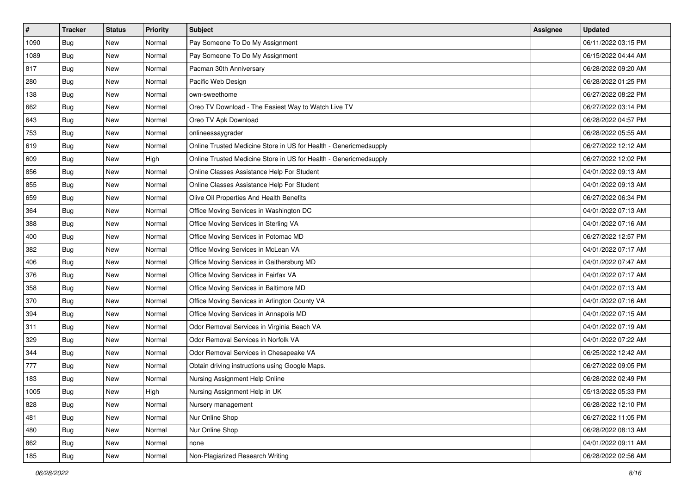| $\sharp$ | <b>Tracker</b> | <b>Status</b> | <b>Priority</b> | <b>Subject</b>                                                    | <b>Assignee</b> | <b>Updated</b>      |
|----------|----------------|---------------|-----------------|-------------------------------------------------------------------|-----------------|---------------------|
| 1090     | <b>Bug</b>     | New           | Normal          | Pay Someone To Do My Assignment                                   |                 | 06/11/2022 03:15 PM |
| 1089     | Bug            | <b>New</b>    | Normal          | Pay Someone To Do My Assignment                                   |                 | 06/15/2022 04:44 AM |
| 817      | Bug            | New           | Normal          | Pacman 30th Anniversary                                           |                 | 06/28/2022 09:20 AM |
| 280      | Bug            | <b>New</b>    | Normal          | Pacific Web Design                                                |                 | 06/28/2022 01:25 PM |
| 138      | Bug            | <b>New</b>    | Normal          | own-sweethome                                                     |                 | 06/27/2022 08:22 PM |
| 662      | <b>Bug</b>     | New           | Normal          | Oreo TV Download - The Easiest Way to Watch Live TV               |                 | 06/27/2022 03:14 PM |
| 643      | Bug            | New           | Normal          | Oreo TV Apk Download                                              |                 | 06/28/2022 04:57 PM |
| 753      | <b>Bug</b>     | New           | Normal          | onlineessaygrader                                                 |                 | 06/28/2022 05:55 AM |
| 619      | <b>Bug</b>     | New           | Normal          | Online Trusted Medicine Store in US for Health - Genericmedsupply |                 | 06/27/2022 12:12 AM |
| 609      | Bug            | <b>New</b>    | High            | Online Trusted Medicine Store in US for Health - Genericmedsupply |                 | 06/27/2022 12:02 PM |
| 856      | <b>Bug</b>     | New           | Normal          | Online Classes Assistance Help For Student                        |                 | 04/01/2022 09:13 AM |
| 855      | <b>Bug</b>     | New           | Normal          | Online Classes Assistance Help For Student                        |                 | 04/01/2022 09:13 AM |
| 659      | Bug            | New           | Normal          | Olive Oil Properties And Health Benefits                          |                 | 06/27/2022 06:34 PM |
| 364      | <b>Bug</b>     | New           | Normal          | Office Moving Services in Washington DC                           |                 | 04/01/2022 07:13 AM |
| 388      | Bug            | <b>New</b>    | Normal          | Office Moving Services in Sterling VA                             |                 | 04/01/2022 07:16 AM |
| 400      | Bug            | New           | Normal          | Office Moving Services in Potomac MD                              |                 | 06/27/2022 12:57 PM |
| 382      | <b>Bug</b>     | <b>New</b>    | Normal          | Office Moving Services in McLean VA                               |                 | 04/01/2022 07:17 AM |
| 406      | Bug            | New           | Normal          | Office Moving Services in Gaithersburg MD                         |                 | 04/01/2022 07:47 AM |
| 376      | Bug            | New           | Normal          | Office Moving Services in Fairfax VA                              |                 | 04/01/2022 07:17 AM |
| 358      | Bug            | New           | Normal          | Office Moving Services in Baltimore MD                            |                 | 04/01/2022 07:13 AM |
| 370      | <b>Bug</b>     | New           | Normal          | Office Moving Services in Arlington County VA                     |                 | 04/01/2022 07:16 AM |
| 394      | <b>Bug</b>     | <b>New</b>    | Normal          | Office Moving Services in Annapolis MD                            |                 | 04/01/2022 07:15 AM |
| 311      | Bug            | <b>New</b>    | Normal          | Odor Removal Services in Virginia Beach VA                        |                 | 04/01/2022 07:19 AM |
| 329      | <b>Bug</b>     | New           | Normal          | Odor Removal Services in Norfolk VA                               |                 | 04/01/2022 07:22 AM |
| 344      | Bug            | New           | Normal          | Odor Removal Services in Chesapeake VA                            |                 | 06/25/2022 12:42 AM |
| 777      | <b>Bug</b>     | New           | Normal          | Obtain driving instructions using Google Maps.                    |                 | 06/27/2022 09:05 PM |
| 183      | <b>Bug</b>     | New           | Normal          | Nursing Assignment Help Online                                    |                 | 06/28/2022 02:49 PM |
| 1005     | i Bug          | New           | High            | Nursing Assignment Help in UK                                     |                 | 05/13/2022 05:33 PM |
| 828      | Bug            | New           | Normal          | Nursery management                                                |                 | 06/28/2022 12:10 PM |
| 481      | <b>Bug</b>     | New           | Normal          | Nur Online Shop                                                   |                 | 06/27/2022 11:05 PM |
| 480      | Bug            | New           | Normal          | Nur Online Shop                                                   |                 | 06/28/2022 08:13 AM |
| 862      | Bug            | New           | Normal          | none                                                              |                 | 04/01/2022 09:11 AM |
| 185      | <b>Bug</b>     | New           | Normal          | Non-Plagiarized Research Writing                                  |                 | 06/28/2022 02:56 AM |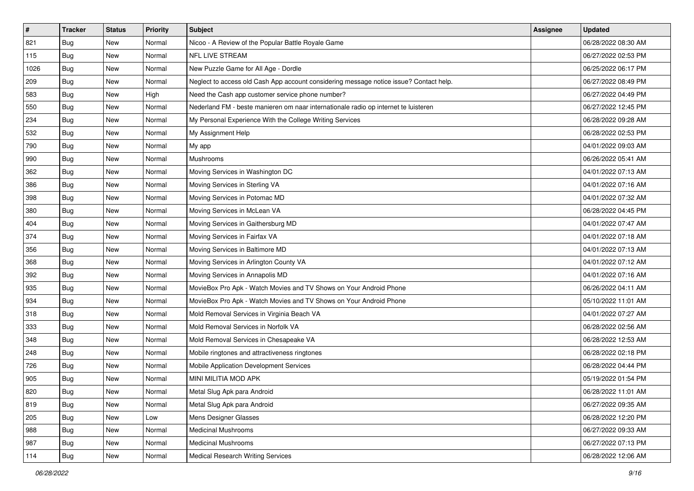| #    | <b>Tracker</b> | <b>Status</b> | <b>Priority</b> | <b>Subject</b>                                                                         | <b>Assignee</b> | <b>Updated</b>      |
|------|----------------|---------------|-----------------|----------------------------------------------------------------------------------------|-----------------|---------------------|
| 821  | <b>Bug</b>     | New           | Normal          | Nicoo - A Review of the Popular Battle Royale Game                                     |                 | 06/28/2022 08:30 AM |
| 115  | Bug            | New           | Normal          | <b>NFL LIVE STREAM</b>                                                                 |                 | 06/27/2022 02:53 PM |
| 1026 | Bug            | New           | Normal          | New Puzzle Game for All Age - Dordle                                                   |                 | 06/25/2022 06:17 PM |
| 209  | <b>Bug</b>     | New           | Normal          | Neglect to access old Cash App account considering message notice issue? Contact help. |                 | 06/27/2022 08:49 PM |
| 583  | Bug            | <b>New</b>    | High            | Need the Cash app customer service phone number?                                       |                 | 06/27/2022 04:49 PM |
| 550  | <b>Bug</b>     | New           | Normal          | Nederland FM - beste manieren om naar internationale radio op internet te luisteren    |                 | 06/27/2022 12:45 PM |
| 234  | Bug            | New           | Normal          | My Personal Experience With the College Writing Services                               |                 | 06/28/2022 09:28 AM |
| 532  | Bug            | New           | Normal          | My Assignment Help                                                                     |                 | 06/28/2022 02:53 PM |
| 790  | <b>Bug</b>     | New           | Normal          | My app                                                                                 |                 | 04/01/2022 09:03 AM |
| 990  | Bug            | New           | Normal          | Mushrooms                                                                              |                 | 06/26/2022 05:41 AM |
| 362  | <b>Bug</b>     | New           | Normal          | Moving Services in Washington DC                                                       |                 | 04/01/2022 07:13 AM |
| 386  | Bug            | New           | Normal          | Moving Services in Sterling VA                                                         |                 | 04/01/2022 07:16 AM |
| 398  | Bug            | New           | Normal          | Moving Services in Potomac MD                                                          |                 | 04/01/2022 07:32 AM |
| 380  | <b>Bug</b>     | New           | Normal          | Moving Services in McLean VA                                                           |                 | 06/28/2022 04:45 PM |
| 404  | <b>Bug</b>     | New           | Normal          | Moving Services in Gaithersburg MD                                                     |                 | 04/01/2022 07:47 AM |
| 374  | Bug            | New           | Normal          | Moving Services in Fairfax VA                                                          |                 | 04/01/2022 07:18 AM |
| 356  | <b>Bug</b>     | New           | Normal          | Moving Services in Baltimore MD                                                        |                 | 04/01/2022 07:13 AM |
| 368  | Bug            | New           | Normal          | Moving Services in Arlington County VA                                                 |                 | 04/01/2022 07:12 AM |
| 392  | Bug            | New           | Normal          | Moving Services in Annapolis MD                                                        |                 | 04/01/2022 07:16 AM |
| 935  | <b>Bug</b>     | New           | Normal          | MovieBox Pro Apk - Watch Movies and TV Shows on Your Android Phone                     |                 | 06/26/2022 04:11 AM |
| 934  | <b>Bug</b>     | New           | Normal          | MovieBox Pro Apk - Watch Movies and TV Shows on Your Android Phone                     |                 | 05/10/2022 11:01 AM |
| 318  | <b>Bug</b>     | New           | Normal          | Mold Removal Services in Virginia Beach VA                                             |                 | 04/01/2022 07:27 AM |
| 333  | Bug            | New           | Normal          | Mold Removal Services in Norfolk VA                                                    |                 | 06/28/2022 02:56 AM |
| 348  | <b>Bug</b>     | New           | Normal          | Mold Removal Services in Chesapeake VA                                                 |                 | 06/28/2022 12:53 AM |
| 248  | Bug            | New           | Normal          | Mobile ringtones and attractiveness ringtones                                          |                 | 06/28/2022 02:18 PM |
| 726  | Bug            | New           | Normal          | Mobile Application Development Services                                                |                 | 06/28/2022 04:44 PM |
| 905  | <b>Bug</b>     | New           | Normal          | MINI MILITIA MOD APK                                                                   |                 | 05/19/2022 01:54 PM |
| 820  | <b>Bug</b>     | New           | Normal          | Metal Slug Apk para Android                                                            |                 | 06/28/2022 11:01 AM |
| 819  | <b>Bug</b>     | New           | Normal          | Metal Slug Apk para Android                                                            |                 | 06/27/2022 09:35 AM |
| 205  | Bug            | New           | Low             | Mens Designer Glasses                                                                  |                 | 06/28/2022 12:20 PM |
| 988  | Bug            | New           | Normal          | Medicinal Mushrooms                                                                    |                 | 06/27/2022 09:33 AM |
| 987  | <b>Bug</b>     | New           | Normal          | <b>Medicinal Mushrooms</b>                                                             |                 | 06/27/2022 07:13 PM |
| 114  | <b>Bug</b>     | New           | Normal          | Medical Research Writing Services                                                      |                 | 06/28/2022 12:06 AM |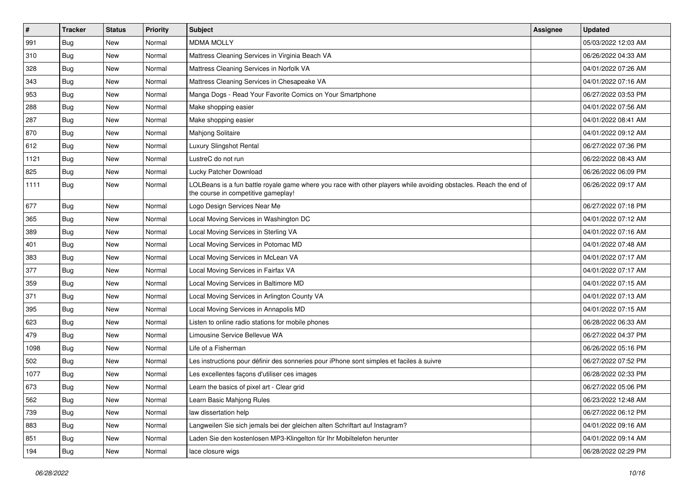| $\vert$ # | <b>Tracker</b> | <b>Status</b> | <b>Priority</b> | Subject                                                                                                                                                  | <b>Assignee</b> | <b>Updated</b>      |
|-----------|----------------|---------------|-----------------|----------------------------------------------------------------------------------------------------------------------------------------------------------|-----------------|---------------------|
| 991       | <b>Bug</b>     | New           | Normal          | <b>MDMA MOLLY</b>                                                                                                                                        |                 | 05/03/2022 12:03 AM |
| 310       | Bug            | New           | Normal          | Mattress Cleaning Services in Virginia Beach VA                                                                                                          |                 | 06/26/2022 04:33 AM |
| 328       | Bug            | New           | Normal          | Mattress Cleaning Services in Norfolk VA                                                                                                                 |                 | 04/01/2022 07:26 AM |
| 343       | <b>Bug</b>     | New           | Normal          | Mattress Cleaning Services in Chesapeake VA                                                                                                              |                 | 04/01/2022 07:16 AM |
| 953       | <b>Bug</b>     | <b>New</b>    | Normal          | Manga Dogs - Read Your Favorite Comics on Your Smartphone                                                                                                |                 | 06/27/2022 03:53 PM |
| 288       | <b>Bug</b>     | New           | Normal          | Make shopping easier                                                                                                                                     |                 | 04/01/2022 07:56 AM |
| 287       | Bug            | New           | Normal          | Make shopping easier                                                                                                                                     |                 | 04/01/2022 08:41 AM |
| 870       | Bug            | New           | Normal          | Mahjong Solitaire                                                                                                                                        |                 | 04/01/2022 09:12 AM |
| 612       | Bug            | New           | Normal          | Luxury Slingshot Rental                                                                                                                                  |                 | 06/27/2022 07:36 PM |
| 1121      | Bug            | <b>New</b>    | Normal          | LustreC do not run                                                                                                                                       |                 | 06/22/2022 08:43 AM |
| 825       | <b>Bug</b>     | New           | Normal          | Lucky Patcher Download                                                                                                                                   |                 | 06/26/2022 06:09 PM |
| 1111      | <b>Bug</b>     | New           | Normal          | LOLBeans is a fun battle royale game where you race with other players while avoiding obstacles. Reach the end of<br>the course in competitive gameplay! |                 | 06/26/2022 09:17 AM |
| 677       | <b>Bug</b>     | New           | Normal          | Logo Design Services Near Me                                                                                                                             |                 | 06/27/2022 07:18 PM |
| 365       | Bug            | New           | Normal          | Local Moving Services in Washington DC                                                                                                                   |                 | 04/01/2022 07:12 AM |
| 389       | Bug            | New           | Normal          | Local Moving Services in Sterling VA                                                                                                                     |                 | 04/01/2022 07:16 AM |
| 401       | <b>Bug</b>     | New           | Normal          | Local Moving Services in Potomac MD                                                                                                                      |                 | 04/01/2022 07:48 AM |
| 383       | Bug            | <b>New</b>    | Normal          | Local Moving Services in McLean VA                                                                                                                       |                 | 04/01/2022 07:17 AM |
| 377       | Bug            | New           | Normal          | Local Moving Services in Fairfax VA                                                                                                                      |                 | 04/01/2022 07:17 AM |
| 359       | Bug            | New           | Normal          | Local Moving Services in Baltimore MD                                                                                                                    |                 | 04/01/2022 07:15 AM |
| 371       | Bug            | New           | Normal          | Local Moving Services in Arlington County VA                                                                                                             |                 | 04/01/2022 07:13 AM |
| 395       | Bug            | <b>New</b>    | Normal          | Local Moving Services in Annapolis MD                                                                                                                    |                 | 04/01/2022 07:15 AM |
| 623       | Bug            | <b>New</b>    | Normal          | Listen to online radio stations for mobile phones                                                                                                        |                 | 06/28/2022 06:33 AM |
| 479       | <b>Bug</b>     | New           | Normal          | Limousine Service Bellevue WA                                                                                                                            |                 | 06/27/2022 04:37 PM |
| 1098      | Bug            | New           | Normal          | Life of a Fisherman                                                                                                                                      |                 | 06/26/2022 05:16 PM |
| 502       | <b>Bug</b>     | <b>New</b>    | Normal          | Les instructions pour définir des sonneries pour iPhone sont simples et faciles à suivre                                                                 |                 | 06/27/2022 07:52 PM |
| 1077      | <b>Bug</b>     | New           | Normal          | Les excellentes façons d'utiliser ces images                                                                                                             |                 | 06/28/2022 02:33 PM |
| 673       | <b>Bug</b>     | New           | Normal          | Learn the basics of pixel art - Clear grid                                                                                                               |                 | 06/27/2022 05:06 PM |
| 562       | <b>Bug</b>     | New           | Normal          | Learn Basic Mahjong Rules                                                                                                                                |                 | 06/23/2022 12:48 AM |
| 739       | <b>Bug</b>     | New           | Normal          | law dissertation help                                                                                                                                    |                 | 06/27/2022 06:12 PM |
| 883       | Bug            | New           | Normal          | Langweilen Sie sich jemals bei der gleichen alten Schriftart auf Instagram?                                                                              |                 | 04/01/2022 09:16 AM |
| 851       | <b>Bug</b>     | New           | Normal          | Laden Sie den kostenlosen MP3-Klingelton für Ihr Mobiltelefon herunter                                                                                   |                 | 04/01/2022 09:14 AM |
| 194       | <b>Bug</b>     | New           | Normal          | lace closure wigs                                                                                                                                        |                 | 06/28/2022 02:29 PM |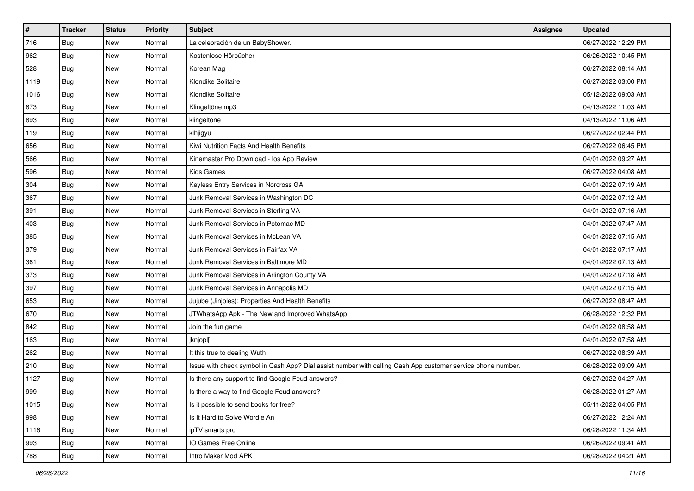| $\vert$ # | <b>Tracker</b> | <b>Status</b> | <b>Priority</b> | <b>Subject</b>                                                                                               | Assignee | <b>Updated</b>      |
|-----------|----------------|---------------|-----------------|--------------------------------------------------------------------------------------------------------------|----------|---------------------|
| 716       | <b>Bug</b>     | New           | Normal          | La celebración de un BabyShower.                                                                             |          | 06/27/2022 12:29 PM |
| 962       | Bug            | New           | Normal          | Kostenlose Hörbücher                                                                                         |          | 06/26/2022 10:45 PM |
| 528       | Bug            | New           | Normal          | Korean Mag                                                                                                   |          | 06/27/2022 08:14 AM |
| 1119      | Bug            | New           | Normal          | Klondike Solitaire                                                                                           |          | 06/27/2022 03:00 PM |
| 1016      | <b>Bug</b>     | New           | Normal          | Klondike Solitaire                                                                                           |          | 05/12/2022 09:03 AM |
| 873       | <b>Bug</b>     | New           | Normal          | Klingeltöne mp3                                                                                              |          | 04/13/2022 11:03 AM |
| 893       | Bug            | New           | Normal          | klingeltone                                                                                                  |          | 04/13/2022 11:06 AM |
| 119       | Bug            | <b>New</b>    | Normal          | klhjigyu                                                                                                     |          | 06/27/2022 02:44 PM |
| 656       | <b>Bug</b>     | New           | Normal          | Kiwi Nutrition Facts And Health Benefits                                                                     |          | 06/27/2022 06:45 PM |
| 566       | <b>Bug</b>     | New           | Normal          | Kinemaster Pro Download - los App Review                                                                     |          | 04/01/2022 09:27 AM |
| 596       | Bug            | New           | Normal          | <b>Kids Games</b>                                                                                            |          | 06/27/2022 04:08 AM |
| 304       | Bug            | New           | Normal          | Keyless Entry Services in Norcross GA                                                                        |          | 04/01/2022 07:19 AM |
| 367       | Bug            | New           | Normal          | Junk Removal Services in Washington DC                                                                       |          | 04/01/2022 07:12 AM |
| 391       | <b>Bug</b>     | New           | Normal          | Junk Removal Services in Sterling VA                                                                         |          | 04/01/2022 07:16 AM |
| 403       | <b>Bug</b>     | New           | Normal          | Junk Removal Services in Potomac MD                                                                          |          | 04/01/2022 07:47 AM |
| 385       | Bug            | New           | Normal          | Junk Removal Services in McLean VA                                                                           |          | 04/01/2022 07:15 AM |
| 379       | <b>Bug</b>     | New           | Normal          | Junk Removal Services in Fairfax VA                                                                          |          | 04/01/2022 07:17 AM |
| 361       | Bug            | New           | Normal          | Junk Removal Services in Baltimore MD                                                                        |          | 04/01/2022 07:13 AM |
| 373       | <b>Bug</b>     | New           | Normal          | Junk Removal Services in Arlington County VA                                                                 |          | 04/01/2022 07:18 AM |
| 397       | Bug            | New           | Normal          | Junk Removal Services in Annapolis MD                                                                        |          | 04/01/2022 07:15 AM |
| 653       | <b>Bug</b>     | <b>New</b>    | Normal          | Jujube (Jinjoles): Properties And Health Benefits                                                            |          | 06/27/2022 08:47 AM |
| 670       | <b>Bug</b>     | New           | Normal          | JTWhatsApp Apk - The New and Improved WhatsApp                                                               |          | 06/28/2022 12:32 PM |
| 842       | Bug            | New           | Normal          | Join the fun game                                                                                            |          | 04/01/2022 08:58 AM |
| 163       | <b>Bug</b>     | New           | Normal          | jknjopl[                                                                                                     |          | 04/01/2022 07:58 AM |
| 262       | Bug            | New           | Normal          | It this true to dealing Wuth                                                                                 |          | 06/27/2022 08:39 AM |
| 210       | Bug            | New           | Normal          | Issue with check symbol in Cash App? Dial assist number with calling Cash App customer service phone number. |          | 06/28/2022 09:09 AM |
| 1127      | <b>Bug</b>     | New           | Normal          | Is there any support to find Google Feud answers?                                                            |          | 06/27/2022 04:27 AM |
| 999       | <b>Bug</b>     | New           | Normal          | Is there a way to find Google Feud answers?                                                                  |          | 06/28/2022 01:27 AM |
| 1015      | Bug            | New           | Normal          | Is it possible to send books for free?                                                                       |          | 05/11/2022 04:05 PM |
| 998       | <b>Bug</b>     | New           | Normal          | Is It Hard to Solve Wordle An                                                                                |          | 06/27/2022 12:24 AM |
| 1116      | Bug            | New           | Normal          | ipTV smarts pro                                                                                              |          | 06/28/2022 11:34 AM |
| 993       | <b>Bug</b>     | New           | Normal          | IO Games Free Online                                                                                         |          | 06/26/2022 09:41 AM |
| 788       | <b>Bug</b>     | New           | Normal          | Intro Maker Mod APK                                                                                          |          | 06/28/2022 04:21 AM |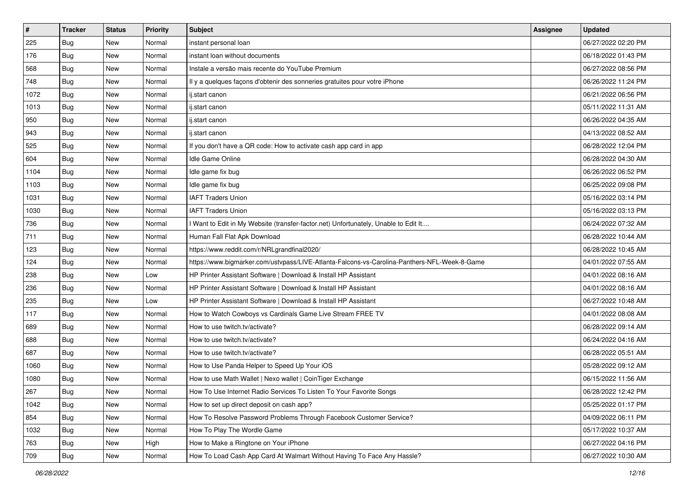| $\vert$ # | <b>Tracker</b> | <b>Status</b> | <b>Priority</b> | Subject                                                                                      | <b>Assignee</b> | <b>Updated</b>      |
|-----------|----------------|---------------|-----------------|----------------------------------------------------------------------------------------------|-----------------|---------------------|
| 225       | <b>Bug</b>     | New           | Normal          | instant personal loan                                                                        |                 | 06/27/2022 02:20 PM |
| 176       | <b>Bug</b>     | New           | Normal          | instant loan without documents                                                               |                 | 06/18/2022 01:43 PM |
| 568       | Bug            | New           | Normal          | Instale a versão mais recente do YouTube Premium                                             |                 | 06/27/2022 08:56 PM |
| 748       | Bug            | New           | Normal          | Il y a quelques façons d'obtenir des sonneries gratuites pour votre iPhone                   |                 | 06/26/2022 11:24 PM |
| 1072      | Bug            | <b>New</b>    | Normal          | ij.start canon                                                                               |                 | 06/21/2022 06:56 PM |
| 1013      | Bug            | New           | Normal          | ij.start canon                                                                               |                 | 05/11/2022 11:31 AM |
| 950       | Bug            | New           | Normal          | ij.start canon                                                                               |                 | 06/26/2022 04:35 AM |
| 943       | <b>Bug</b>     | New           | Normal          | ij.start canon                                                                               |                 | 04/13/2022 08:52 AM |
| 525       | Bug            | New           | Normal          | If you don't have a QR code: How to activate cash app card in app                            |                 | 06/28/2022 12:04 PM |
| 604       | Bug            | New           | Normal          | <b>Idle Game Online</b>                                                                      |                 | 06/28/2022 04:30 AM |
| 1104      | Bug            | New           | Normal          | Idle game fix bug                                                                            |                 | 06/26/2022 06:52 PM |
| 1103      | Bug            | New           | Normal          | Idle game fix bug                                                                            |                 | 06/25/2022 09:08 PM |
| 1031      | Bug            | New           | Normal          | <b>IAFT Traders Union</b>                                                                    |                 | 05/16/2022 03:14 PM |
| 1030      | <b>Bug</b>     | New           | Normal          | <b>IAFT Traders Union</b>                                                                    |                 | 05/16/2022 03:13 PM |
| 736       | <b>Bug</b>     | New           | Normal          | Want to Edit in My Website (transfer-factor.net) Unfortunately, Unable to Edit It            |                 | 06/24/2022 07:32 AM |
| 711       | Bug            | New           | Normal          | Human Fall Flat Apk Download                                                                 |                 | 06/28/2022 10:44 AM |
| 123       | <b>Bug</b>     | New           | Normal          | https://www.reddit.com/r/NRLgrandfinal2020/                                                  |                 | 06/28/2022 10:45 AM |
| 124       | Bug            | New           | Normal          | https://www.bigmarker.com/ustvpass/LIVE-Atlanta-Falcons-vs-Carolina-Panthers-NFL-Week-8-Game |                 | 04/01/2022 07:55 AM |
| 238       | Bug            | New           | Low             | HP Printer Assistant Software   Download & Install HP Assistant                              |                 | 04/01/2022 08:16 AM |
| 236       | <b>Bug</b>     | New           | Normal          | HP Printer Assistant Software   Download & Install HP Assistant                              |                 | 04/01/2022 08:16 AM |
| 235       | <b>Bug</b>     | New           | Low             | HP Printer Assistant Software   Download & Install HP Assistant                              |                 | 06/27/2022 10:48 AM |
| 117       | Bug            | New           | Normal          | How to Watch Cowboys vs Cardinals Game Live Stream FREE TV                                   |                 | 04/01/2022 08:08 AM |
| 689       | Bug            | New           | Normal          | How to use twitch.tv/activate?                                                               |                 | 06/28/2022 09:14 AM |
| 688       | <b>Bug</b>     | New           | Normal          | How to use twitch.tv/activate?                                                               |                 | 06/24/2022 04:16 AM |
| 687       | Bug            | New           | Normal          | How to use twitch.tv/activate?                                                               |                 | 06/28/2022 05:51 AM |
| 1060      | Bug            | New           | Normal          | How to Use Panda Helper to Speed Up Your iOS                                                 |                 | 05/28/2022 09:12 AM |
| 1080      | <b>Bug</b>     | New           | Normal          | How to use Math Wallet   Nexo wallet   CoinTiger Exchange                                    |                 | 06/15/2022 11:56 AM |
| 267       | <b>Bug</b>     | New           | Normal          | How To Use Internet Radio Services To Listen To Your Favorite Songs                          |                 | 06/28/2022 12:42 PM |
| 1042      | <b>Bug</b>     | New           | Normal          | How to set up direct deposit on cash app?                                                    |                 | 05/25/2022 01:17 PM |
| 854       | Bug            | New           | Normal          | How To Resolve Password Problems Through Facebook Customer Service?                          |                 | 04/09/2022 06:11 PM |
| 1032      | Bug            | New           | Normal          | How To Play The Wordle Game                                                                  |                 | 05/17/2022 10:37 AM |
| 763       | <b>Bug</b>     | New           | High            | How to Make a Ringtone on Your iPhone                                                        |                 | 06/27/2022 04:16 PM |
| 709       | Bug            | New           | Normal          | How To Load Cash App Card At Walmart Without Having To Face Any Hassle?                      |                 | 06/27/2022 10:30 AM |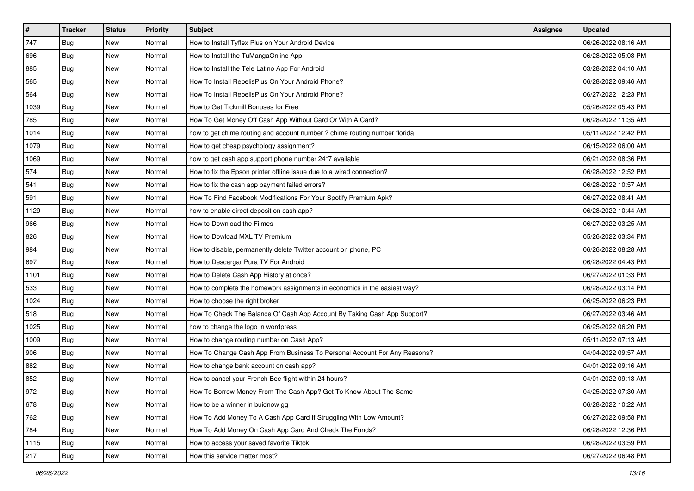| $\vert$ # | <b>Tracker</b> | <b>Status</b> | <b>Priority</b> | Subject                                                                    | Assignee | <b>Updated</b>      |
|-----------|----------------|---------------|-----------------|----------------------------------------------------------------------------|----------|---------------------|
| 747       | <b>Bug</b>     | New           | Normal          | How to Install Tyflex Plus on Your Android Device                          |          | 06/26/2022 08:16 AM |
| 696       | <b>Bug</b>     | New           | Normal          | How to Install the TuMangaOnline App                                       |          | 06/28/2022 05:03 PM |
| 885       | Bug            | New           | Normal          | How to Install the Tele Latino App For Android                             |          | 03/28/2022 04:10 AM |
| 565       | Bug            | New           | Normal          | How To Install RepelisPlus On Your Android Phone?                          |          | 06/28/2022 09:46 AM |
| 564       | Bug            | <b>New</b>    | Normal          | How To Install RepelisPlus On Your Android Phone?                          |          | 06/27/2022 12:23 PM |
| 1039      | <b>Bug</b>     | <b>New</b>    | Normal          | How to Get Tickmill Bonuses for Free                                       |          | 05/26/2022 05:43 PM |
| 785       | Bug            | New           | Normal          | How To Get Money Off Cash App Without Card Or With A Card?                 |          | 06/28/2022 11:35 AM |
| 1014      | <b>Bug</b>     | New           | Normal          | how to get chime routing and account number ? chime routing number florida |          | 05/11/2022 12:42 PM |
| 1079      | <b>Bug</b>     | New           | Normal          | How to get cheap psychology assignment?                                    |          | 06/15/2022 06:00 AM |
| 1069      | Bug            | New           | Normal          | how to get cash app support phone number 24*7 available                    |          | 06/21/2022 08:36 PM |
| 574       | <b>Bug</b>     | New           | Normal          | How to fix the Epson printer offline issue due to a wired connection?      |          | 06/28/2022 12:52 PM |
| 541       | <b>Bug</b>     | New           | Normal          | How to fix the cash app payment failed errors?                             |          | 06/28/2022 10:57 AM |
| 591       | Bug            | New           | Normal          | How To Find Facebook Modifications For Your Spotify Premium Apk?           |          | 06/27/2022 08:41 AM |
| 1129      | Bug            | New           | Normal          | how to enable direct deposit on cash app?                                  |          | 06/28/2022 10:44 AM |
| 966       | <b>Bug</b>     | <b>New</b>    | Normal          | How to Download the Filmes                                                 |          | 06/27/2022 03:25 AM |
| 826       | Bug            | New           | Normal          | How to Dowload MXL TV Premium                                              |          | 05/26/2022 03:34 PM |
| 984       | <b>Bug</b>     | New           | Normal          | How to disable, permanently delete Twitter account on phone, PC            |          | 06/26/2022 08:28 AM |
| 697       | Bug            | <b>New</b>    | Normal          | How to Descargar Pura TV For Android                                       |          | 06/28/2022 04:43 PM |
| 1101      | Bug            | New           | Normal          | How to Delete Cash App History at once?                                    |          | 06/27/2022 01:33 PM |
| 533       | <b>Bug</b>     | New           | Normal          | How to complete the homework assignments in economics in the easiest way?  |          | 06/28/2022 03:14 PM |
| 1024      | <b>Bug</b>     | New           | Normal          | How to choose the right broker                                             |          | 06/25/2022 06:23 PM |
| 518       | <b>Bug</b>     | <b>New</b>    | Normal          | How To Check The Balance Of Cash App Account By Taking Cash App Support?   |          | 06/27/2022 03:46 AM |
| 1025      | Bug            | <b>New</b>    | Normal          | how to change the logo in wordpress                                        |          | 06/25/2022 06:20 PM |
| 1009      | <b>Bug</b>     | New           | Normal          | How to change routing number on Cash App?                                  |          | 05/11/2022 07:13 AM |
| 906       | Bug            | New           | Normal          | How To Change Cash App From Business To Personal Account For Any Reasons?  |          | 04/04/2022 09:57 AM |
| 882       | Bug            | New           | Normal          | How to change bank account on cash app?                                    |          | 04/01/2022 09:16 AM |
| 852       | <b>Bug</b>     | New           | Normal          | How to cancel your French Bee flight within 24 hours?                      |          | 04/01/2022 09:13 AM |
| 972       | i Bug          | New           | Normal          | How To Borrow Money From The Cash App? Get To Know About The Same          |          | 04/25/2022 07:30 AM |
| 678       | Bug            | New           | Normal          | How to be a winner in buidnow gg                                           |          | 06/28/2022 10:22 AM |
| 762       | Bug            | New           | Normal          | How To Add Money To A Cash App Card If Struggling With Low Amount?         |          | 06/27/2022 09:58 PM |
| 784       | <b>Bug</b>     | New           | Normal          | How To Add Money On Cash App Card And Check The Funds?                     |          | 06/28/2022 12:36 PM |
| 1115      | <b>Bug</b>     | New           | Normal          | How to access your saved favorite Tiktok                                   |          | 06/28/2022 03:59 PM |
| 217       | Bug            | New           | Normal          | How this service matter most?                                              |          | 06/27/2022 06:48 PM |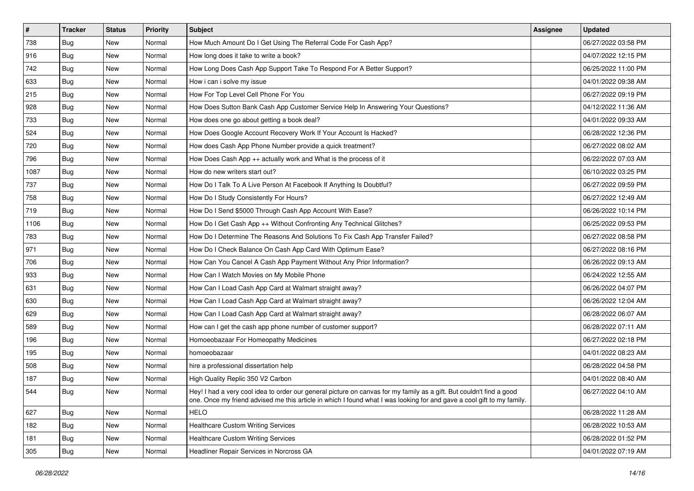| $\vert$ # | <b>Tracker</b> | <b>Status</b> | <b>Priority</b> | <b>Subject</b>                                                                                                                                                                                                                                 | <b>Assignee</b> | <b>Updated</b>      |
|-----------|----------------|---------------|-----------------|------------------------------------------------------------------------------------------------------------------------------------------------------------------------------------------------------------------------------------------------|-----------------|---------------------|
| 738       | Bug            | New           | Normal          | How Much Amount Do I Get Using The Referral Code For Cash App?                                                                                                                                                                                 |                 | 06/27/2022 03:58 PM |
| 916       | Bug            | New           | Normal          | How long does it take to write a book?                                                                                                                                                                                                         |                 | 04/07/2022 12:15 PM |
| 742       | <b>Bug</b>     | New           | Normal          | How Long Does Cash App Support Take To Respond For A Better Support?                                                                                                                                                                           |                 | 06/25/2022 11:00 PM |
| 633       | <b>Bug</b>     | New           | Normal          | How i can i solve my issue                                                                                                                                                                                                                     |                 | 04/01/2022 09:38 AM |
| 215       | <b>Bug</b>     | <b>New</b>    | Normal          | How For Top Level Cell Phone For You                                                                                                                                                                                                           |                 | 06/27/2022 09:19 PM |
| 928       | Bug            | New           | Normal          | How Does Sutton Bank Cash App Customer Service Help In Answering Your Questions?                                                                                                                                                               |                 | 04/12/2022 11:36 AM |
| 733       | <b>Bug</b>     | New           | Normal          | How does one go about getting a book deal?                                                                                                                                                                                                     |                 | 04/01/2022 09:33 AM |
| 524       | <b>Bug</b>     | <b>New</b>    | Normal          | How Does Google Account Recovery Work If Your Account Is Hacked?                                                                                                                                                                               |                 | 06/28/2022 12:36 PM |
| 720       | <b>Bug</b>     | New           | Normal          | How does Cash App Phone Number provide a quick treatment?                                                                                                                                                                                      |                 | 06/27/2022 08:02 AM |
| 796       | <b>Bug</b>     | New           | Normal          | How Does Cash App ++ actually work and What is the process of it                                                                                                                                                                               |                 | 06/22/2022 07:03 AM |
| 1087      | Bug            | New           | Normal          | How do new writers start out?                                                                                                                                                                                                                  |                 | 06/10/2022 03:25 PM |
| 737       | <b>Bug</b>     | New           | Normal          | How Do I Talk To A Live Person At Facebook If Anything Is Doubtful?                                                                                                                                                                            |                 | 06/27/2022 09:59 PM |
| 758       | Bug            | <b>New</b>    | Normal          | How Do I Study Consistently For Hours?                                                                                                                                                                                                         |                 | 06/27/2022 12:49 AM |
| 719       | <b>Bug</b>     | New           | Normal          | How Do I Send \$5000 Through Cash App Account With Ease?                                                                                                                                                                                       |                 | 06/26/2022 10:14 PM |
| 1106      | <b>Bug</b>     | New           | Normal          | How Do I Get Cash App ++ Without Confronting Any Technical Glitches?                                                                                                                                                                           |                 | 06/25/2022 09:53 PM |
| 783       | <b>Bug</b>     | New           | Normal          | How Do I Determine The Reasons And Solutions To Fix Cash App Transfer Failed?                                                                                                                                                                  |                 | 06/27/2022 08:58 PM |
| 971       | <b>Bug</b>     | <b>New</b>    | Normal          | How Do I Check Balance On Cash App Card With Optimum Ease?                                                                                                                                                                                     |                 | 06/27/2022 08:16 PM |
| 706       | <b>Bug</b>     | <b>New</b>    | Normal          | How Can You Cancel A Cash App Payment Without Any Prior Information?                                                                                                                                                                           |                 | 06/26/2022 09:13 AM |
| 933       | Bug            | New           | Normal          | How Can I Watch Movies on My Mobile Phone                                                                                                                                                                                                      |                 | 06/24/2022 12:55 AM |
| 631       | Bug            | New           | Normal          | How Can I Load Cash App Card at Walmart straight away?                                                                                                                                                                                         |                 | 06/26/2022 04:07 PM |
| 630       | <b>Bug</b>     | <b>New</b>    | Normal          | How Can I Load Cash App Card at Walmart straight away?                                                                                                                                                                                         |                 | 06/26/2022 12:04 AM |
| 629       | <b>Bug</b>     | <b>New</b>    | Normal          | How Can I Load Cash App Card at Walmart straight away?                                                                                                                                                                                         |                 | 06/28/2022 06:07 AM |
| 589       | Bug            | New           | Normal          | How can I get the cash app phone number of customer support?                                                                                                                                                                                   |                 | 06/28/2022 07:11 AM |
| 196       | Bug            | New           | Normal          | Homoeobazaar For Homeopathy Medicines                                                                                                                                                                                                          |                 | 06/27/2022 02:18 PM |
| 195       | Bug            | New           | Normal          | homoeobazaar                                                                                                                                                                                                                                   |                 | 04/01/2022 08:23 AM |
| 508       | Bug            | <b>New</b>    | Normal          | hire a professional dissertation help                                                                                                                                                                                                          |                 | 06/28/2022 04:58 PM |
| 187       | <b>Bug</b>     | New           | Normal          | High Quality Replic 350 V2 Carbon                                                                                                                                                                                                              |                 | 04/01/2022 08:40 AM |
| 544       | Bug            | New           | Normal          | Hey! I had a very cool idea to order our general picture on canvas for my family as a gift. But couldn't find a good<br>one. Once my friend advised me this article in which I found what I was looking for and gave a cool gift to my family. |                 | 06/27/2022 04:10 AM |
| 627       | Bug            | New           | Normal          | <b>HELO</b>                                                                                                                                                                                                                                    |                 | 06/28/2022 11:28 AM |
| 182       | Bug            | New           | Normal          | <b>Healthcare Custom Writing Services</b>                                                                                                                                                                                                      |                 | 06/28/2022 10:53 AM |
| 181       | Bug            | New           | Normal          | <b>Healthcare Custom Writing Services</b>                                                                                                                                                                                                      |                 | 06/28/2022 01:52 PM |
| 305       | <b>Bug</b>     | New           | Normal          | Headliner Repair Services in Norcross GA                                                                                                                                                                                                       |                 | 04/01/2022 07:19 AM |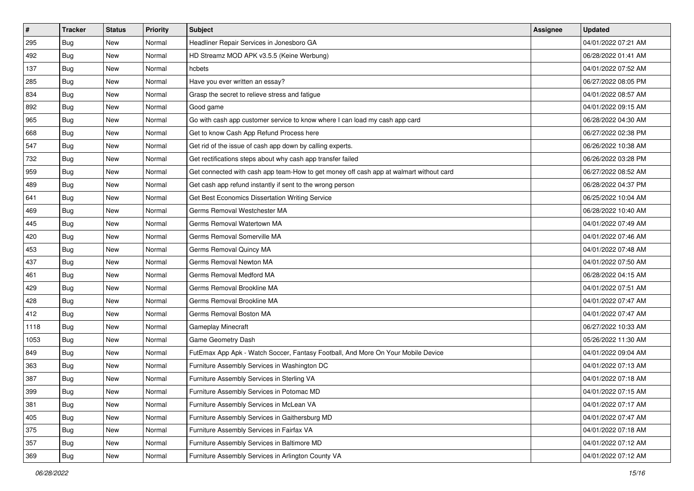| $\sharp$ | <b>Tracker</b> | <b>Status</b> | <b>Priority</b> | <b>Subject</b>                                                                         | Assignee | <b>Updated</b>      |
|----------|----------------|---------------|-----------------|----------------------------------------------------------------------------------------|----------|---------------------|
| 295      | <b>Bug</b>     | New           | Normal          | Headliner Repair Services in Jonesboro GA                                              |          | 04/01/2022 07:21 AM |
| 492      | <b>Bug</b>     | <b>New</b>    | Normal          | HD Streamz MOD APK v3.5.5 (Keine Werbung)                                              |          | 06/28/2022 01:41 AM |
| 137      | Bug            | New           | Normal          | hcbets                                                                                 |          | 04/01/2022 07:52 AM |
| 285      | <b>Bug</b>     | <b>New</b>    | Normal          | Have you ever written an essay?                                                        |          | 06/27/2022 08:05 PM |
| 834      | Bug            | <b>New</b>    | Normal          | Grasp the secret to relieve stress and fatigue                                         |          | 04/01/2022 08:57 AM |
| 892      | Bug            | <b>New</b>    | Normal          | Good game                                                                              |          | 04/01/2022 09:15 AM |
| 965      | Bug            | New           | Normal          | Go with cash app customer service to know where I can load my cash app card            |          | 06/28/2022 04:30 AM |
| 668      | <b>Bug</b>     | New           | Normal          | Get to know Cash App Refund Process here                                               |          | 06/27/2022 02:38 PM |
| 547      | <b>Bug</b>     | <b>New</b>    | Normal          | Get rid of the issue of cash app down by calling experts.                              |          | 06/26/2022 10:38 AM |
| 732      | Bug            | <b>New</b>    | Normal          | Get rectifications steps about why cash app transfer failed                            |          | 06/26/2022 03:28 PM |
| 959      | <b>Bug</b>     | New           | Normal          | Get connected with cash app team-How to get money off cash app at walmart without card |          | 06/27/2022 08:52 AM |
| 489      | <b>Bug</b>     | New           | Normal          | Get cash app refund instantly if sent to the wrong person                              |          | 06/28/2022 04:37 PM |
| 641      | Bug            | New           | Normal          | Get Best Economics Dissertation Writing Service                                        |          | 06/25/2022 10:04 AM |
| 469      | Bug            | New           | Normal          | Germs Removal Westchester MA                                                           |          | 06/28/2022 10:40 AM |
| 445      | Bug            | <b>New</b>    | Normal          | Germs Removal Watertown MA                                                             |          | 04/01/2022 07:49 AM |
| 420      | Bug            | New           | Normal          | Germs Removal Somerville MA                                                            |          | 04/01/2022 07:46 AM |
| 453      | <b>Bug</b>     | <b>New</b>    | Normal          | Germs Removal Quincy MA                                                                |          | 04/01/2022 07:48 AM |
| 437      | Bug            | <b>New</b>    | Normal          | Germs Removal Newton MA                                                                |          | 04/01/2022 07:50 AM |
| 461      | Bug            | New           | Normal          | Germs Removal Medford MA                                                               |          | 06/28/2022 04:15 AM |
| 429      | <b>Bug</b>     | New           | Normal          | Germs Removal Brookline MA                                                             |          | 04/01/2022 07:51 AM |
| 428      | Bug            | New           | Normal          | Germs Removal Brookline MA                                                             |          | 04/01/2022 07:47 AM |
| 412      | <b>Bug</b>     | <b>New</b>    | Normal          | Germs Removal Boston MA                                                                |          | 04/01/2022 07:47 AM |
| 1118     | Bug            | <b>New</b>    | Normal          | Gameplay Minecraft                                                                     |          | 06/27/2022 10:33 AM |
| 1053     | Bug            | New           | Normal          | Game Geometry Dash                                                                     |          | 05/26/2022 11:30 AM |
| 849      | Bug            | New           | Normal          | FutEmax App Apk - Watch Soccer, Fantasy Football, And More On Your Mobile Device       |          | 04/01/2022 09:04 AM |
| 363      | Bug            | <b>New</b>    | Normal          | Furniture Assembly Services in Washington DC                                           |          | 04/01/2022 07:13 AM |
| 387      | <b>Bug</b>     | New           | Normal          | Furniture Assembly Services in Sterling VA                                             |          | 04/01/2022 07:18 AM |
| 399      | i Bug          | New           | Normal          | Furniture Assembly Services in Potomac MD                                              |          | 04/01/2022 07:15 AM |
| 381      | Bug            | New           | Normal          | Furniture Assembly Services in McLean VA                                               |          | 04/01/2022 07:17 AM |
| 405      | Bug            | New           | Normal          | Furniture Assembly Services in Gaithersburg MD                                         |          | 04/01/2022 07:47 AM |
| 375      | <b>Bug</b>     | New           | Normal          | Furniture Assembly Services in Fairfax VA                                              |          | 04/01/2022 07:18 AM |
| 357      | Bug            | New           | Normal          | Furniture Assembly Services in Baltimore MD                                            |          | 04/01/2022 07:12 AM |
| 369      | Bug            | New           | Normal          | Furniture Assembly Services in Arlington County VA                                     |          | 04/01/2022 07:12 AM |